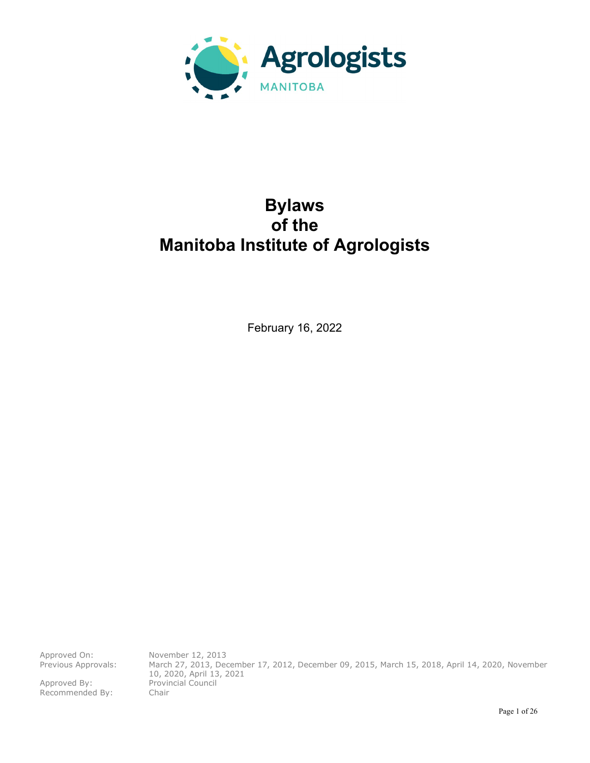

# **Bylaws of the Manitoba Institute of Agrologists**

February 16, 2022

Approved On: November 12, 2013<br>Previous Approvals: March 27, 2013, Dee

Approved By: Provincial Council Recommended By: Chair

March 27, 2013, December 17, 2012, December 09, 2015, March 15, 2018, April 14, 2020, November 10, 2020, April 13, 2021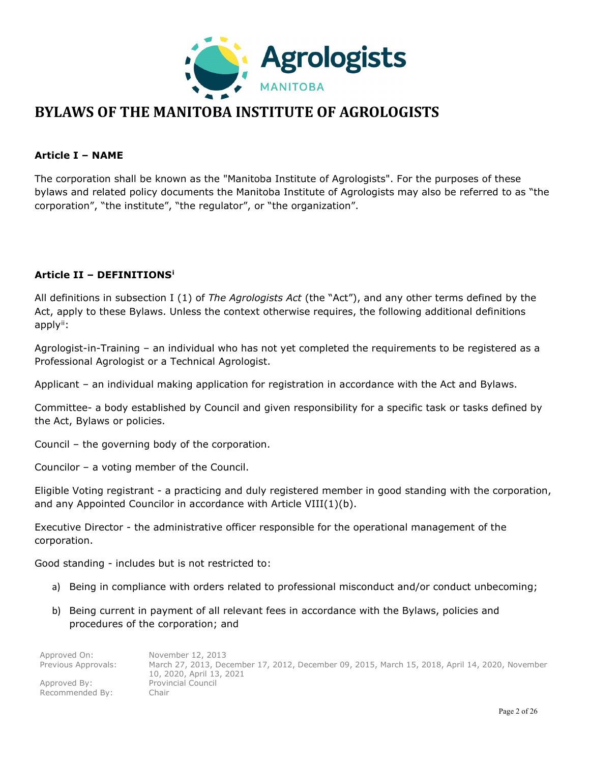

## **BYLAWS OF THE MANITOBA INSTITUTE OF AGROLOGISTS**

## **Article I – NAME**

The corporation shall be known as the "Manitoba Institute of Agrologists". For the purposes of these bylaws and related policy documents the Manitoba Institute of Agrologists may also be referred to as "the corporation", "the institute", "the regulator", or "the organization".

## **Article II – DEFINITIONS[i](#page-25-0)**

All definitions in subsection I (1) of *The Agrologists Act* (the "Act"), and any other terms defined by the Act, apply to these Bylaws. Unless the context otherwise requires, the following additional definitions apply<sup>[ii](#page-25-1)</sup>:

Agrologist-in-Training – an individual who has not yet completed the requirements to be registered as a Professional Agrologist or a Technical Agrologist.

Applicant – an individual making application for registration in accordance with the Act and Bylaws.

Committee- a body established by Council and given responsibility for a specific task or tasks defined by the Act, Bylaws or policies.

Council – the governing body of the corporation.

Councilor – a voting member of the Council.

Eligible Voting registrant - a practicing and duly registered member in good standing with the corporation, and any Appointed Councilor in accordance with Article VIII(1)(b).

Executive Director - the administrative officer responsible for the operational management of the corporation.

Good standing - includes but is not restricted to:

- a) Being in compliance with orders related to professional misconduct and/or conduct unbecoming;
- b) Being current in payment of all relevant fees in accordance with the Bylaws, policies and procedures of the corporation; and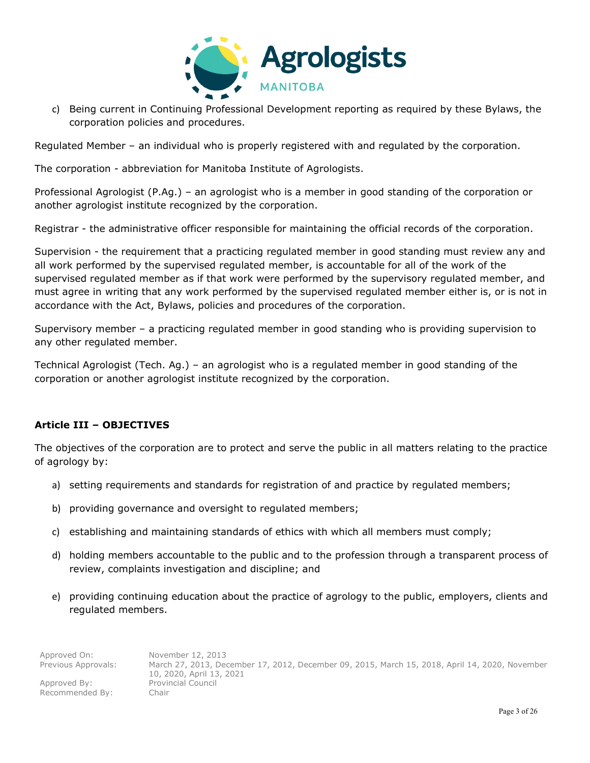

c) Being current in Continuing Professional Development reporting as required by these Bylaws, the corporation policies and procedures.

Regulated Member – an individual who is properly registered with and regulated by the corporation.

The corporation - abbreviation for Manitoba Institute of Agrologists.

Professional Agrologist (P.Ag.) – an agrologist who is a member in good standing of the corporation or another agrologist institute recognized by the corporation.

Registrar - the administrative officer responsible for maintaining the official records of the corporation.

Supervision - the requirement that a practicing regulated member in good standing must review any and all work performed by the supervised regulated member, is accountable for all of the work of the supervised regulated member as if that work were performed by the supervisory regulated member, and must agree in writing that any work performed by the supervised regulated member either is, or is not in accordance with the Act, Bylaws, policies and procedures of the corporation.

Supervisory member – a practicing regulated member in good standing who is providing supervision to any other regulated member.

Technical Agrologist (Tech. Ag.) – an agrologist who is a regulated member in good standing of the corporation or another agrologist institute recognized by the corporation.

## **Article III – OBJECTIVES**

The objectives of the corporation are to protect and serve the public in all matters relating to the practice of agrology by:

- a) setting requirements and standards for registration of and practice by regulated members;
- b) providing governance and oversight to regulated members;
- c) establishing and maintaining standards of ethics with which all members must comply;
- d) holding members accountable to the public and to the profession through a transparent process of review, complaints investigation and discipline; and
- e) providing continuing education about the practice of agrology to the public, employers, clients and regulated members.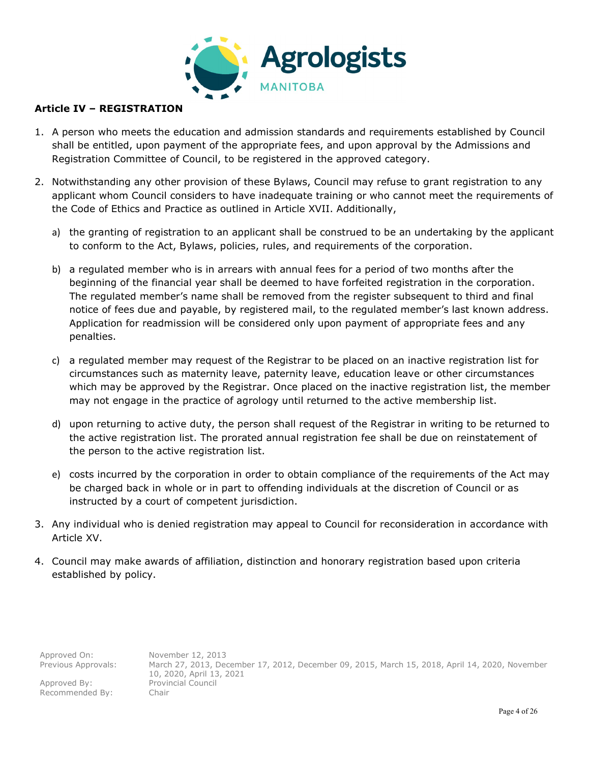

## **Article IV – REGISTRATION**

- 1. A person who meets the education and admission standards and requirements established by Council shall be entitled, upon payment of the appropriate fees, and upon approval by the Admissions and Registration Committee of Council, to be registered in the approved category.
- 2. Notwithstanding any other provision of these Bylaws, Council may refuse to grant registration to any applicant whom Council considers to have inadequate training or who cannot meet the requirements of the Code of Ethics and Practice as outlined in Article XVII. Additionally,
	- a) the granting of registration to an applicant shall be construed to be an undertaking by the applicant to conform to the Act, Bylaws, policies, rules, and requirements of the corporation.
	- b) a regulated member who is in arrears with annual fees for a period of two months after the beginning of the financial year shall be deemed to have forfeited registration in the corporation. The regulated member's name shall be removed from the register subsequent to third and final notice of fees due and payable, by registered mail, to the regulated member's last known address. Application for readmission will be considered only upon payment of appropriate fees and any penalties.
	- c) a regulated member may request of the Registrar to be placed on an inactive registration list for circumstances such as maternity leave, paternity leave, education leave or other circumstances which may be approved by the Registrar. Once placed on the inactive registration list, the member may not engage in the practice of agrology until returned to the active membership list.
	- d) upon returning to active duty, the person shall request of the Registrar in writing to be returned to the active registration list. The prorated annual registration fee shall be due on reinstatement of the person to the active registration list.
	- e) costs incurred by the corporation in order to obtain compliance of the requirements of the Act may be charged back in whole or in part to offending individuals at the discretion of Council or as instructed by a court of competent jurisdiction.
- 3. Any individual who is denied registration may appeal to Council for reconsideration in accordance with Article XV.
- 4. Council may make awards of affiliation, distinction and honorary registration based upon criteria established by policy.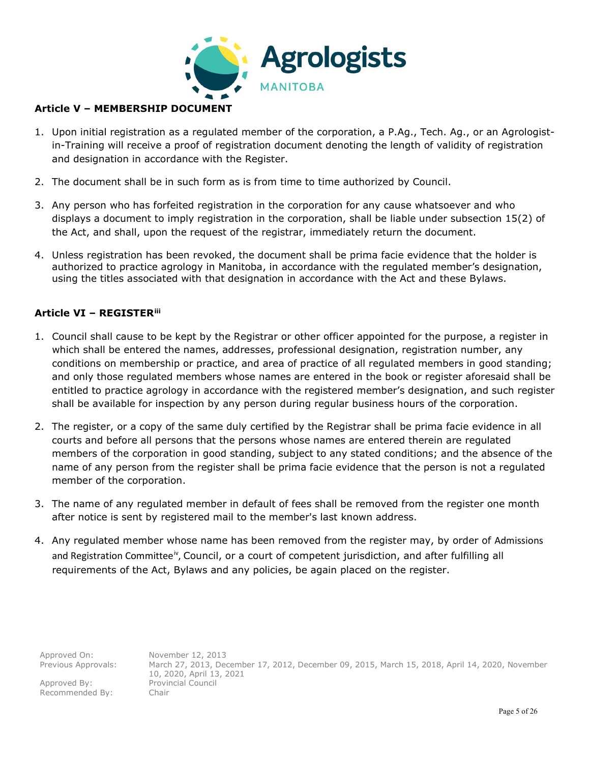

## **Article V – MEMBERSHIP DOCUMENT**

- 1. Upon initial registration as a regulated member of the corporation, a P.Ag., Tech. Ag., or an Agrologistin-Training will receive a proof of registration document denoting the length of validity of registration and designation in accordance with the Register.
- 2. The document shall be in such form as is from time to time authorized by Council.
- 3. Any person who has forfeited registration in the corporation for any cause whatsoever and who displays a document to imply registration in the corporation, shall be liable under subsection 15(2) of the Act, and shall, upon the request of the registrar, immediately return the document.
- 4. Unless registration has been revoked, the document shall be prima facie evidence that the holder is authorized to practice agrology in Manitoba, in accordance with the regulated member's designation, using the titles associated with that designation in accordance with the Act and these Bylaws.

## **Article VI – REGISTER[iii](#page-25-2)**

- 1. Council shall cause to be kept by the Registrar or other officer appointed for the purpose, a register in which shall be entered the names, addresses, professional designation, registration number, any conditions on membership or practice, and area of practice of all regulated members in good standing; and only those regulated members whose names are entered in the book or register aforesaid shall be entitled to practice agrology in accordance with the registered member's designation, and such register shall be available for inspection by any person during regular business hours of the corporation.
- 2. The register, or a copy of the same duly certified by the Registrar shall be prima facie evidence in all courts and before all persons that the persons whose names are entered therein are regulated members of the corporation in good standing, subject to any stated conditions; and the absence of the name of any person from the register shall be prima facie evidence that the person is not a regulated member of the corporation.
- 3. The name of any regulated member in default of fees shall be removed from the register one month after notice is sent by registered mail to the member's last known address.
- 4. Any regulated member whose name has been removed from the register may, by order of Admissions and Registration Committee<sup>[iv](#page-25-3)</sup>, Council, or a court of competent jurisdiction, and after fulfilling all requirements of the Act, Bylaws and any policies, be again placed on the register.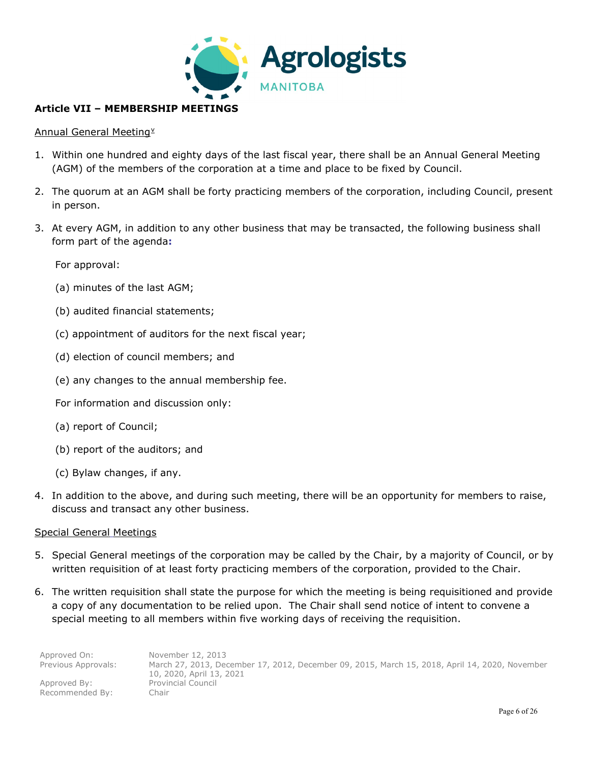

## **Article VII – MEMBERSHIP MEETINGS**

## Annual General Meeting<sup>[v](#page-25-4)</sup>

- 1. Within one hundred and eighty days of the last fiscal year, there shall be an Annual General Meeting (AGM) of the members of the corporation at a time and place to be fixed by Council.
- 2. The quorum at an AGM shall be forty practicing members of the corporation, including Council, present in person.
- 3. At every AGM, in addition to any other business that may be transacted, the following business shall form part of the agenda**:**

For approval:

- (a) minutes of the last AGM;
- (b) audited financial statements;
- (c) appointment of auditors for the next fiscal year;
- (d) election of council members; and
- (e) any changes to the annual membership fee.
- For information and discussion only:
- (a) report of Council;
- (b) report of the auditors; and
- (c) Bylaw changes, if any.
- 4. In addition to the above, and during such meeting, there will be an opportunity for members to raise, discuss and transact any other business.

#### Special General Meetings

- 5. Special General meetings of the corporation may be called by the Chair, by a majority of Council, or by written requisition of at least forty practicing members of the corporation, provided to the Chair.
- 6. The written requisition shall state the purpose for which the meeting is being requisitioned and provide a copy of any documentation to be relied upon. The Chair shall send notice of intent to convene a special meeting to all members within five working days of receiving the requisition.

| Approved On:        | November 12, 2013                                                                              |
|---------------------|------------------------------------------------------------------------------------------------|
| Previous Approvals: | March 27, 2013, December 17, 2012, December 09, 2015, March 15, 2018, April 14, 2020, November |
|                     | 10, 2020, April 13, 2021                                                                       |
| Approved By:        | Provincial Council                                                                             |
| Recommended By:     | Chair                                                                                          |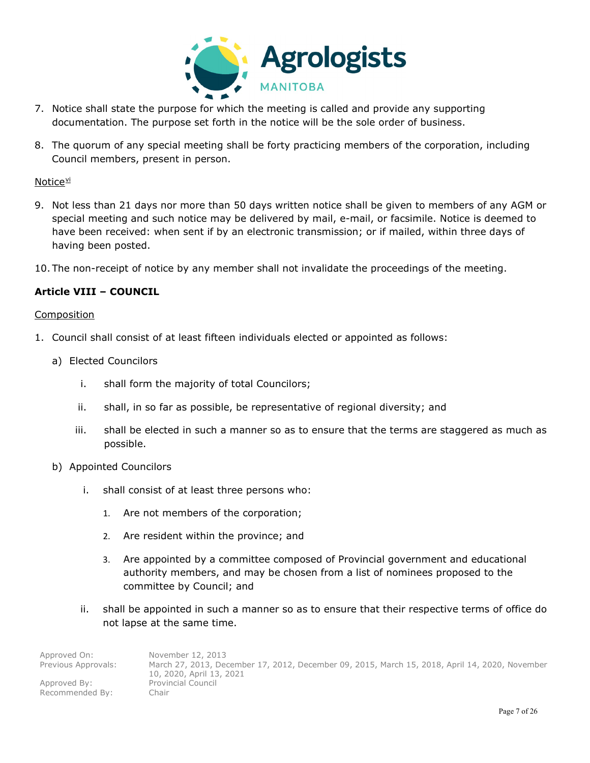

- 7. Notice shall state the purpose for which the meeting is called and provide any supporting documentation. The purpose set forth in the notice will be the sole order of business.
- 8. The quorum of any special meeting shall be forty practicing members of the corporation, including Council members, present in person.

## Notice<sup>[vi](#page-25-5)</sup>

- 9. Not less than 21 days nor more than 50 days written notice shall be given to members of any AGM or special meeting and such notice may be delivered by mail, e-mail, or facsimile. Notice is deemed to have been received: when sent if by an electronic transmission; or if mailed, within three days of having been posted.
- 10. The non-receipt of notice by any member shall not invalidate the proceedings of the meeting.

## **Article VIII – COUNCIL**

#### Composition

- 1. Council shall consist of at least fifteen individuals elected or appointed as follows:
	- a) Elected Councilors
		- i. shall form the majority of total Councilors;
		- ii. shall, in so far as possible, be representative of regional diversity; and
		- iii. shall be elected in such a manner so as to ensure that the terms are staggered as much as possible.
	- b) Appointed Councilors
		- i. shall consist of at least three persons who:
			- 1. Are not members of the corporation;
			- 2. Are resident within the province; and
			- 3. Are appointed by a committee composed of Provincial government and educational authority members, and may be chosen from a list of nominees proposed to the committee by Council; and
		- ii. shall be appointed in such a manner so as to ensure that their respective terms of office do not lapse at the same time.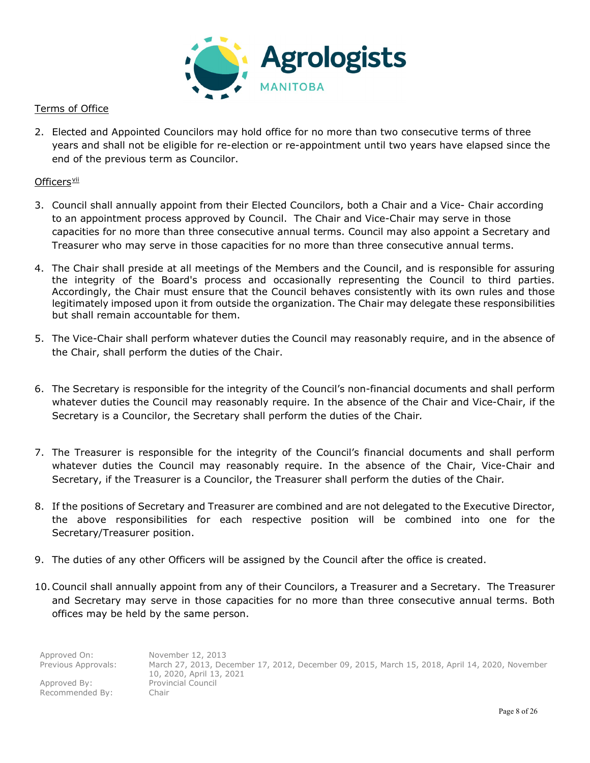

## Terms of Office

2. Elected and Appointed Councilors may hold office for no more than two consecutive terms of three years and shall not be eligible for re-election or re-appointment until two years have elapsed since the end of the previous term as Councilor.

## Officers[vii](#page-25-6)

- 3. Council shall annually appoint from their Elected Councilors, both a Chair and a Vice- Chair according to an appointment process approved by Council. The Chair and Vice-Chair may serve in those capacities for no more than three consecutive annual terms. Council may also appoint a Secretary and Treasurer who may serve in those capacities for no more than three consecutive annual terms.
- 4. The Chair shall preside at all meetings of the Members and the Council, and is responsible for assuring the integrity of the Board's process and occasionally representing the Council to third parties. Accordingly, the Chair must ensure that the Council behaves consistently with its own rules and those legitimately imposed upon it from outside the organization. The Chair may delegate these responsibilities but shall remain accountable for them.
- 5. The Vice-Chair shall perform whatever duties the Council may reasonably require, and in the absence of the Chair, shall perform the duties of the Chair.
- 6. The Secretary is responsible for the integrity of the Council's non-financial documents and shall perform whatever duties the Council may reasonably require. In the absence of the Chair and Vice-Chair, if the Secretary is a Councilor, the Secretary shall perform the duties of the Chair*.*
- 7. The Treasurer is responsible for the integrity of the Council's financial documents and shall perform whatever duties the Council may reasonably require. In the absence of the Chair, Vice-Chair and Secretary, if the Treasurer is a Councilor, the Treasurer shall perform the duties of the Chair*.*
- 8. If the positions of Secretary and Treasurer are combined and are not delegated to the Executive Director, the above responsibilities for each respective position will be combined into one for the Secretary/Treasurer position.
- 9. The duties of any other Officers will be assigned by the Council after the office is created.
- 10.Council shall annually appoint from any of their Councilors, a Treasurer and a Secretary. The Treasurer and Secretary may serve in those capacities for no more than three consecutive annual terms. Both offices may be held by the same person.

| Approved On:        | November 12, 2013                                                                              |
|---------------------|------------------------------------------------------------------------------------------------|
| Previous Approvals: | March 27, 2013, December 17, 2012, December 09, 2015, March 15, 2018, April 14, 2020, November |
|                     | 10, 2020, April 13, 2021                                                                       |
| Approved By:        | <b>Provincial Council</b>                                                                      |
| Recommended By:     | Chair                                                                                          |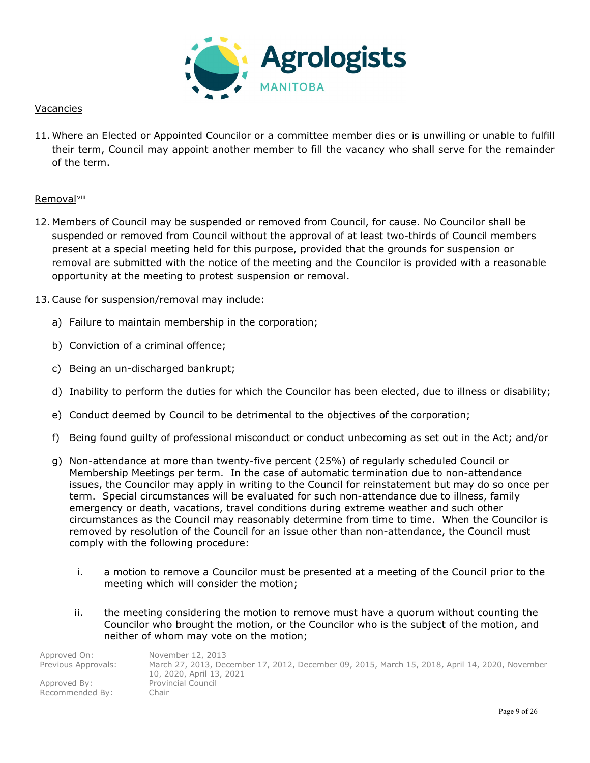

## Vacancies

11. Where an Elected or Appointed Councilor or a committee member dies or is unwilling or unable to fulfill their term, Council may appoint another member to fill the vacancy who shall serve for the remainder of the term.

## Removal[viii](#page-25-7)

- 12. Members of Council may be suspended or removed from Council, for cause. No Councilor shall be suspended or removed from Council without the approval of at least two-thirds of Council members present at a special meeting held for this purpose, provided that the grounds for suspension or removal are submitted with the notice of the meeting and the Councilor is provided with a reasonable opportunity at the meeting to protest suspension or removal.
- 13.Cause for suspension/removal may include:
	- a) Failure to maintain membership in the corporation;
	- b) Conviction of a criminal offence;
	- c) Being an un-discharged bankrupt;
	- d) Inability to perform the duties for which the Councilor has been elected, due to illness or disability;
	- e) Conduct deemed by Council to be detrimental to the objectives of the corporation;
	- f) Being found guilty of professional misconduct or conduct unbecoming as set out in the Act; and/or
	- g) Non-attendance at more than twenty-five percent (25%) of regularly scheduled Council or Membership Meetings per term. In the case of automatic termination due to non-attendance issues, the Councilor may apply in writing to the Council for reinstatement but may do so once per term. Special circumstances will be evaluated for such non-attendance due to illness, family emergency or death, vacations, travel conditions during extreme weather and such other circumstances as the Council may reasonably determine from time to time. When the Councilor is removed by resolution of the Council for an issue other than non-attendance, the Council must comply with the following procedure:
		- i. a motion to remove a Councilor must be presented at a meeting of the Council prior to the meeting which will consider the motion;
		- ii. the meeting considering the motion to remove must have a quorum without counting the Councilor who brought the motion, or the Councilor who is the subject of the motion, and neither of whom may vote on the motion;

| Approved On:        | November 12, 2013                                                                              |
|---------------------|------------------------------------------------------------------------------------------------|
| Previous Approvals: | March 27, 2013, December 17, 2012, December 09, 2015, March 15, 2018, April 14, 2020, November |
|                     | 10, 2020, April 13, 2021                                                                       |
| Approved By:        | <b>Provincial Council</b>                                                                      |
| Recommended By:     | Chair                                                                                          |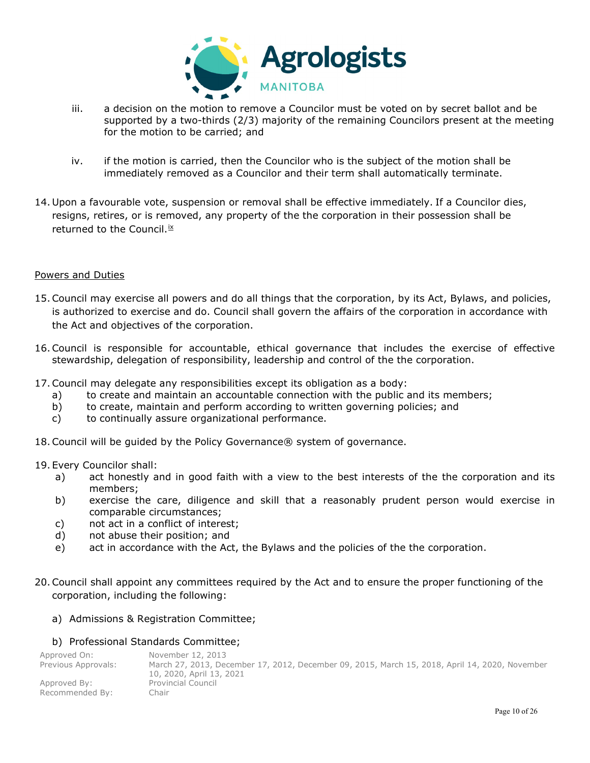

- iii. a decision on the motion to remove a Councilor must be voted on by secret ballot and be supported by a two-thirds (2/3) majority of the remaining Councilors present at the meeting for the motion to be carried; and
- iv. if the motion is carried, then the Councilor who is the subject of the motion shall be immediately removed as a Councilor and their term shall automatically terminate.
- 14. Upon a favourable vote, suspension or removal shall be effective immediately. If a Councilor dies, resigns, retires, or is removed, any property of the the corporation in their possession shall be returned to the Council. $i x$

## Powers and Duties

- 15.Council may exercise all powers and do all things that the corporation, by its Act, Bylaws, and policies, is authorized to exercise and do. Council shall govern the affairs of the corporation in accordance with the Act and objectives of the corporation.
- 16.Council is responsible for accountable, ethical governance that includes the exercise of effective stewardship, delegation of responsibility, leadership and control of the the corporation.
- 17.Council may delegate any responsibilities except its obligation as a body:
	- a) to create and maintain an accountable connection with the public and its members;
	- b) to create, maintain and perform according to written governing policies; and
	- c) to continually assure organizational performance.
- 18.Council will be guided by the Policy Governance® system of governance.

#### 19. Every Councilor shall:

- a) act honestly and in good faith with a view to the best interests of the the corporation and its members;
- b) exercise the care, diligence and skill that a reasonably prudent person would exercise in comparable circumstances;
- c) not act in a conflict of interest;
- d) not abuse their position; and
- e) act in accordance with the Act, the Bylaws and the policies of the the corporation.
- 20.Council shall appoint any committees required by the Act and to ensure the proper functioning of the corporation, including the following:

#### a) Admissions & Registration Committee;

## b) Professional Standards Committee;

| Approved On:        | November 12, 2013                                                                              |
|---------------------|------------------------------------------------------------------------------------------------|
| Previous Approvals: | March 27, 2013, December 17, 2012, December 09, 2015, March 15, 2018, April 14, 2020, November |
|                     | 10, 2020, April 13, 2021                                                                       |
| Approved By:        | <b>Provincial Council</b>                                                                      |
| Recommended By:     | ⊇hair                                                                                          |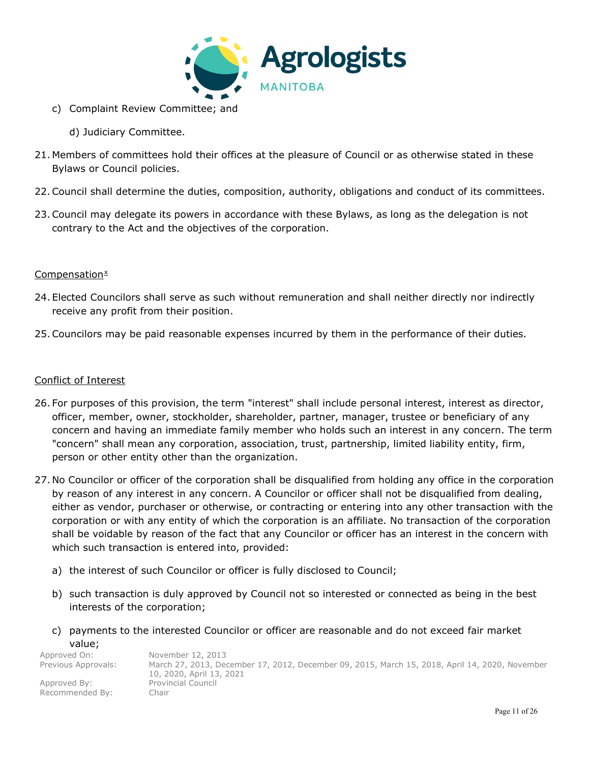![](_page_10_Picture_0.jpeg)

- c) Complaint Review Committee; and
	- d) Judiciary Committee.
- 21. Members of committees hold their offices at the pleasure of Council or as otherwise stated in these Bylaws or Council policies.
- 22.Council shall determine the duties, composition, authority, obligations and conduct of its committees.
- 23.Council may delegate its powers in accordance with these Bylaws, as long as the delegation is not contrary to the Act and the objectives of the corporation.

## $Compensation<sup>x</sup>$  $Compensation<sup>x</sup>$  $Compensation<sup>x</sup>$

- 24. Elected Councilors shall serve as such without remuneration and shall neither directly nor indirectly receive any profit from their position.
- 25.Councilors may be paid reasonable expenses incurred by them in the performance of their duties.

## Conflict of Interest

- 26. For purposes of this provision, the term "interest" shall include personal interest, interest as director, officer, member, owner, stockholder, shareholder, partner, manager, trustee or beneficiary of any concern and having an immediate family member who holds such an interest in any concern. The term "concern" shall mean any corporation, association, trust, partnership, limited liability entity, firm, person or other entity other than the organization.
- 27. No Councilor or officer of the corporation shall be disqualified from holding any office in the corporation by reason of any interest in any concern. A Councilor or officer shall not be disqualified from dealing, either as vendor, purchaser or otherwise, or contracting or entering into any other transaction with the corporation or with any entity of which the corporation is an affiliate. No transaction of the corporation shall be voidable by reason of the fact that any Councilor or officer has an interest in the concern with which such transaction is entered into, provided:
	- a) the interest of such Councilor or officer is fully disclosed to Council;
	- b) such transaction is duly approved by Council not so interested or connected as being in the best interests of the corporation;
	- c) payments to the interested Councilor or officer are reasonable and do not exceed fair market value;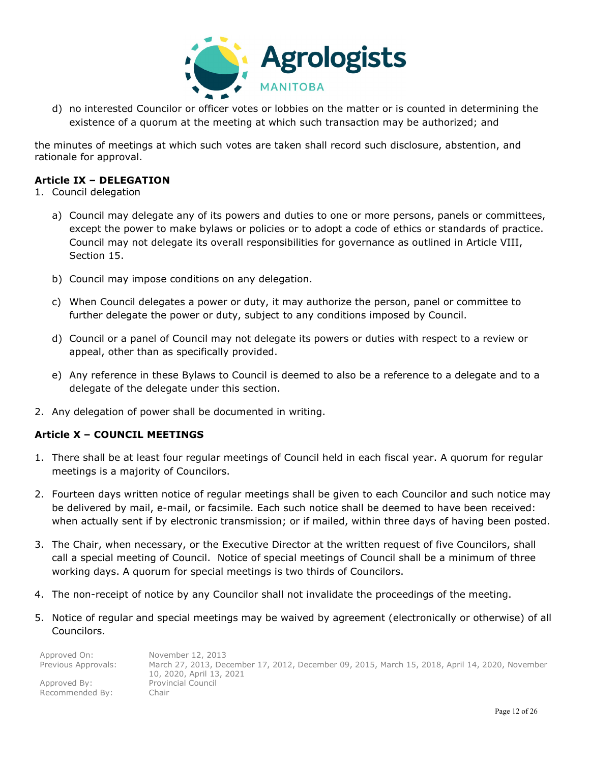![](_page_11_Picture_0.jpeg)

d) no interested Councilor or officer votes or lobbies on the matter or is counted in determining the existence of a quorum at the meeting at which such transaction may be authorized; and

the minutes of meetings at which such votes are taken shall record such disclosure, abstention, and rationale for approval.

## **Article IX – DELEGATION**

- 1. Council delegation
	- a) Council may delegate any of its powers and duties to one or more persons, panels or committees, except the power to make bylaws or policies or to adopt a code of ethics or standards of practice. Council may not delegate its overall responsibilities for governance as outlined in Article VIII, Section 15.
	- b) Council may impose conditions on any delegation.
	- c) When Council delegates a power or duty, it may authorize the person, panel or committee to further delegate the power or duty, subject to any conditions imposed by Council.
	- d) Council or a panel of Council may not delegate its powers or duties with respect to a review or appeal, other than as specifically provided.
	- e) Any reference in these Bylaws to Council is deemed to also be a reference to a delegate and to a delegate of the delegate under this section.
- 2. Any delegation of power shall be documented in writing.

## **Article X – COUNCIL MEETINGS**

- 1. There shall be at least four regular meetings of Council held in each fiscal year. A quorum for regular meetings is a majority of Councilors.
- 2. Fourteen days written notice of regular meetings shall be given to each Councilor and such notice may be delivered by mail, e-mail, or facsimile. Each such notice shall be deemed to have been received: when actually sent if by electronic transmission; or if mailed, within three days of having been posted.
- 3. The Chair, when necessary, or the Executive Director at the written request of five Councilors, shall call a special meeting of Council. Notice of special meetings of Council shall be a minimum of three working days. A quorum for special meetings is two thirds of Councilors.
- 4. The non-receipt of notice by any Councilor shall not invalidate the proceedings of the meeting.
- 5. Notice of regular and special meetings may be waived by agreement (electronically or otherwise) of all Councilors.

| Approved On:        | November 12, 2013                                                                              |
|---------------------|------------------------------------------------------------------------------------------------|
| Previous Approvals: | March 27, 2013, December 17, 2012, December 09, 2015, March 15, 2018, April 14, 2020, November |
|                     | 10, 2020, April 13, 2021                                                                       |
| Approved By:        | Provincial Council                                                                             |
| Recommended By:     | Chair                                                                                          |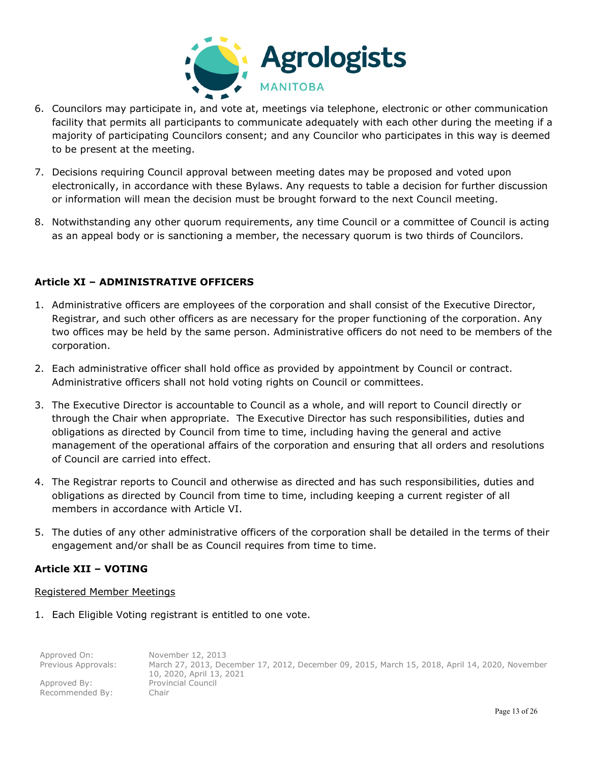![](_page_12_Picture_0.jpeg)

- 6. Councilors may participate in, and vote at, meetings via telephone, electronic or other communication facility that permits all participants to communicate adequately with each other during the meeting if a majority of participating Councilors consent; and any Councilor who participates in this way is deemed to be present at the meeting.
- 7. Decisions requiring Council approval between meeting dates may be proposed and voted upon electronically, in accordance with these Bylaws. Any requests to table a decision for further discussion or information will mean the decision must be brought forward to the next Council meeting.
- 8. Notwithstanding any other quorum requirements, any time Council or a committee of Council is acting as an appeal body or is sanctioning a member, the necessary quorum is two thirds of Councilors.

## **Article XI – ADMINISTRATIVE OFFICERS**

- 1. Administrative officers are employees of the corporation and shall consist of the Executive Director, Registrar, and such other officers as are necessary for the proper functioning of the corporation. Any two offices may be held by the same person. Administrative officers do not need to be members of the corporation.
- 2. Each administrative officer shall hold office as provided by appointment by Council or contract. Administrative officers shall not hold voting rights on Council or committees.
- 3. The Executive Director is accountable to Council as a whole, and will report to Council directly or through the Chair when appropriate. The Executive Director has such responsibilities, duties and obligations as directed by Council from time to time, including having the general and active management of the operational affairs of the corporation and ensuring that all orders and resolutions of Council are carried into effect.
- 4. The Registrar reports to Council and otherwise as directed and has such responsibilities, duties and obligations as directed by Council from time to time, including keeping a current register of all members in accordance with Article VI.
- 5. The duties of any other administrative officers of the corporation shall be detailed in the terms of their engagement and/or shall be as Council requires from time to time.

## **Article XII – VOTING**

## Registered Member Meetings

1. Each Eligible Voting registrant is entitled to one vote.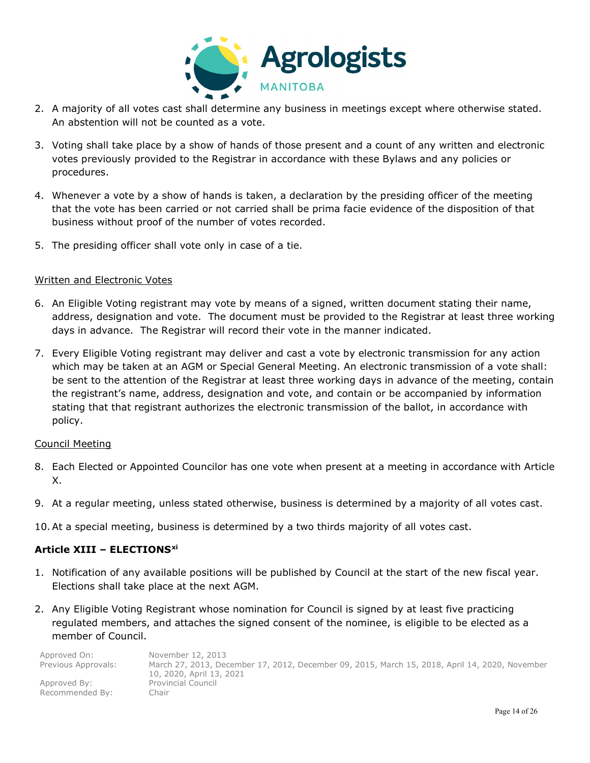![](_page_13_Picture_0.jpeg)

- 2. A majority of all votes cast shall determine any business in meetings except where otherwise stated. An abstention will not be counted as a vote.
- 3. Voting shall take place by a show of hands of those present and a count of any written and electronic votes previously provided to the Registrar in accordance with these Bylaws and any policies or procedures.
- 4. Whenever a vote by a show of hands is taken, a declaration by the presiding officer of the meeting that the vote has been carried or not carried shall be prima facie evidence of the disposition of that business without proof of the number of votes recorded.
- 5. The presiding officer shall vote only in case of a tie.

## Written and Electronic Votes

- 6. An Eligible Voting registrant may vote by means of a signed, written document stating their name, address, designation and vote. The document must be provided to the Registrar at least three working days in advance. The Registrar will record their vote in the manner indicated.
- 7. Every Eligible Voting registrant may deliver and cast a vote by electronic transmission for any action which may be taken at an AGM or Special General Meeting. An electronic transmission of a vote shall: be sent to the attention of the Registrar at least three working days in advance of the meeting, contain the registrant's name, address, designation and vote, and contain or be accompanied by information stating that that registrant authorizes the electronic transmission of the ballot, in accordance with policy.

## Council Meeting

- 8. Each Elected or Appointed Councilor has one vote when present at a meeting in accordance with Article X.
- 9. At a regular meeting, unless stated otherwise, business is determined by a majority of all votes cast.
- 10.At a special meeting, business is determined by a two thirds majority of all votes cast.

## **Article XIII – ELECTIONS[xi](#page-25-10)**

- 1. Notification of any available positions will be published by Council at the start of the new fiscal year. Elections shall take place at the next AGM.
- 2. Any Eligible Voting Registrant whose nomination for Council is signed by at least five practicing regulated members, and attaches the signed consent of the nominee, is eligible to be elected as a member of Council.

| Approved On:        | November 12, 2013                                                                              |
|---------------------|------------------------------------------------------------------------------------------------|
| Previous Approvals: | March 27, 2013, December 17, 2012, December 09, 2015, March 15, 2018, April 14, 2020, November |
|                     | 10, 2020, April 13, 2021                                                                       |
| Approved By:        | <b>Provincial Council</b>                                                                      |
| Recommended By:     | Chair                                                                                          |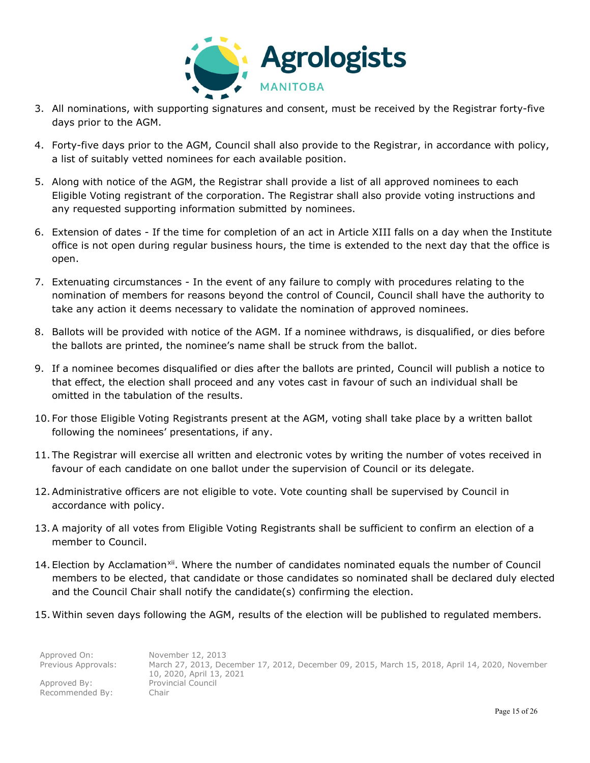![](_page_14_Picture_0.jpeg)

- 3. All nominations, with supporting signatures and consent, must be received by the Registrar forty-five days prior to the AGM.
- 4. Forty-five days prior to the AGM, Council shall also provide to the Registrar, in accordance with policy, a list of suitably vetted nominees for each available position.
- 5. Along with notice of the AGM, the Registrar shall provide a list of all approved nominees to each Eligible Voting registrant of the corporation. The Registrar shall also provide voting instructions and any requested supporting information submitted by nominees.
- 6. Extension of dates If the time for completion of an act in Article XIII falls on a day when the Institute office is not open during regular business hours, the time is extended to the next day that the office is open.
- 7. Extenuating circumstances In the event of any failure to comply with procedures relating to the nomination of members for reasons beyond the control of Council, Council shall have the authority to take any action it deems necessary to validate the nomination of approved nominees.
- 8. Ballots will be provided with notice of the AGM. If a nominee withdraws, is disqualified, or dies before the ballots are printed, the nominee's name shall be struck from the ballot.
- 9. If a nominee becomes disqualified or dies after the ballots are printed, Council will publish a notice to that effect, the election shall proceed and any votes cast in favour of such an individual shall be omitted in the tabulation of the results.
- 10. For those Eligible Voting Registrants present at the AGM, voting shall take place by a written ballot following the nominees' presentations, if any.
- 11. The Registrar will exercise all written and electronic votes by writing the number of votes received in favour of each candidate on one ballot under the supervision of Council or its delegate.
- 12.Administrative officers are not eligible to vote. Vote counting shall be supervised by Council in accordance with policy.
- 13.A majority of all votes from Eligible Voting Registrants shall be sufficient to confirm an election of a member to Council.
- 14. Election by Acclamation<sup>[xii](#page-25-11)</sup>. Where the number of candidates nominated equals the number of Council members to be elected, that candidate or those candidates so nominated shall be declared duly elected and the Council Chair shall notify the candidate(s) confirming the election.
- 15. Within seven days following the AGM, results of the election will be published to regulated members.

| Approved On:        | November 12, 2013                                                                              |
|---------------------|------------------------------------------------------------------------------------------------|
| Previous Approvals: | March 27, 2013, December 17, 2012, December 09, 2015, March 15, 2018, April 14, 2020, November |
|                     | 10, 2020, April 13, 2021                                                                       |
| Approved By:        | <b>Provincial Council</b>                                                                      |
| Recommended By:     | -Chair                                                                                         |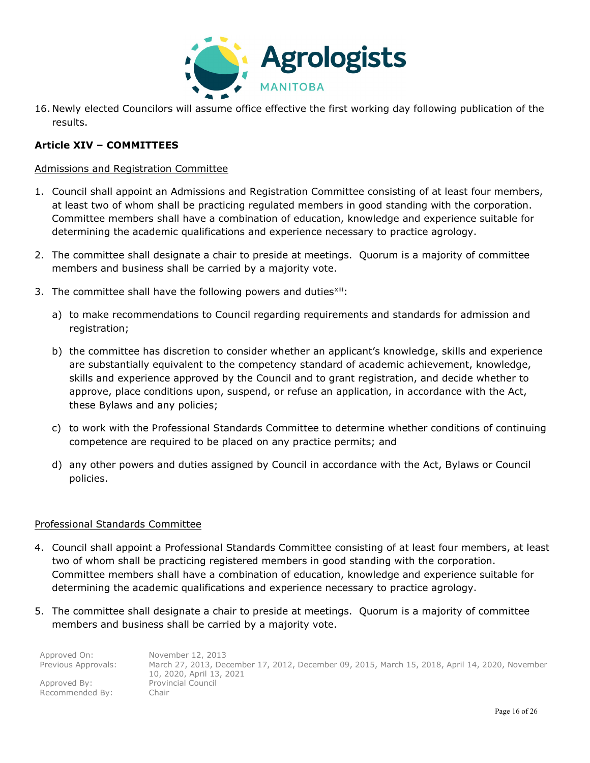![](_page_15_Picture_0.jpeg)

16. Newly elected Councilors will assume office effective the first working day following publication of the results.

## **Article XIV – COMMITTEES**

#### Admissions and Registration Committee

- 1. Council shall appoint an Admissions and Registration Committee consisting of at least four members, at least two of whom shall be practicing regulated members in good standing with the corporation. Committee members shall have a combination of education, knowledge and experience suitable for determining the academic qualifications and experience necessary to practice agrology.
- 2. The committee shall designate a chair to preside at meetings. Quorum is a majority of committee members and business shall be carried by a majority vote.
- 3. The committee shall have the following powers and duties[xiii:](#page-25-12)
	- a) to make recommendations to Council regarding requirements and standards for admission and registration;
	- b) the committee has discretion to consider whether an applicant's knowledge, skills and experience are substantially equivalent to the competency standard of academic achievement, knowledge, skills and experience approved by the Council and to grant registration, and decide whether to approve, place conditions upon, suspend, or refuse an application, in accordance with the Act, these Bylaws and any policies;
	- c) to work with the Professional Standards Committee to determine whether conditions of continuing competence are required to be placed on any practice permits; and
	- d) any other powers and duties assigned by Council in accordance with the Act, Bylaws or Council policies.

## Professional Standards Committee

- 4. Council shall appoint a Professional Standards Committee consisting of at least four members, at least two of whom shall be practicing registered members in good standing with the corporation. Committee members shall have a combination of education, knowledge and experience suitable for determining the academic qualifications and experience necessary to practice agrology.
- 5. The committee shall designate a chair to preside at meetings. Quorum is a majority of committee members and business shall be carried by a majority vote.

| Approved On:        | November 12, 2013                                                                              |
|---------------------|------------------------------------------------------------------------------------------------|
| Previous Approvals: | March 27, 2013, December 17, 2012, December 09, 2015, March 15, 2018, April 14, 2020, November |
|                     | 10, 2020, April 13, 2021                                                                       |
| Approved By:        | <b>Provincial Council</b>                                                                      |
| Recommended By:     | Chair                                                                                          |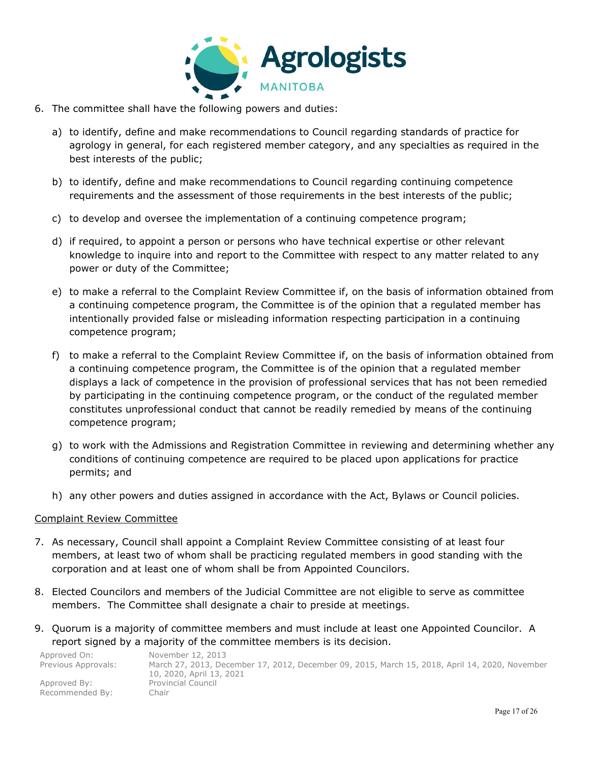![](_page_16_Picture_0.jpeg)

- 6. The committee shall have the following powers and duties:
	- a) to identify, define and make recommendations to Council regarding standards of practice for agrology in general, for each registered member category, and any specialties as required in the best interests of the public;
	- b) to identify, define and make recommendations to Council regarding continuing competence requirements and the assessment of those requirements in the best interests of the public;
	- c) to develop and oversee the implementation of a continuing competence program;
	- d) if required, to appoint a person or persons who have technical expertise or other relevant knowledge to inquire into and report to the Committee with respect to any matter related to any power or duty of the Committee;
	- e) to make a referral to the Complaint Review Committee if, on the basis of information obtained from a continuing competence program, the Committee is of the opinion that a regulated member has intentionally provided false or misleading information respecting participation in a continuing competence program;
	- f) to make a referral to the Complaint Review Committee if, on the basis of information obtained from a continuing competence program, the Committee is of the opinion that a regulated member displays a lack of competence in the provision of professional services that has not been remedied by participating in the continuing competence program, or the conduct of the regulated member constitutes unprofessional conduct that cannot be readily remedied by means of the continuing competence program;
	- g) to work with the Admissions and Registration Committee in reviewing and determining whether any conditions of continuing competence are required to be placed upon applications for practice permits; and
	- h) any other powers and duties assigned in accordance with the Act, Bylaws or Council policies.

## Complaint Review Committee

- 7. As necessary, Council shall appoint a Complaint Review Committee consisting of at least four members, at least two of whom shall be practicing regulated members in good standing with the corporation and at least one of whom shall be from Appointed Councilors.
- 8. Elected Councilors and members of the Judicial Committee are not eligible to serve as committee members. The Committee shall designate a chair to preside at meetings.
- 9. Quorum is a majority of committee members and must include at least one Appointed Councilor. A report signed by a majority of the committee members is its decision.

| Approved On:        | November 12, 2013                                                                              |
|---------------------|------------------------------------------------------------------------------------------------|
| Previous Approvals: | March 27, 2013, December 17, 2012, December 09, 2015, March 15, 2018, April 14, 2020, November |
|                     | 10, 2020, April 13, 2021                                                                       |
| Approved By:        | <b>Provincial Council</b>                                                                      |
| Recommended By:     | :hair                                                                                          |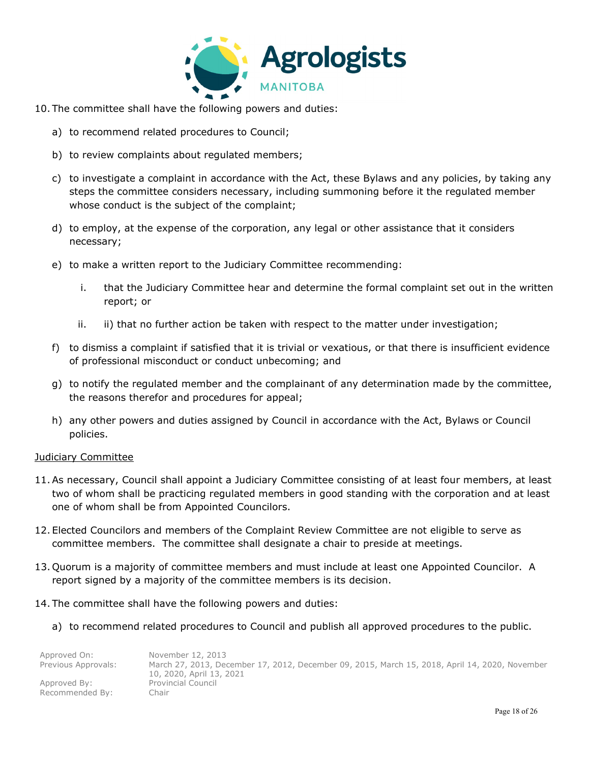![](_page_17_Picture_0.jpeg)

- 10. The committee shall have the following powers and duties:
	- a) to recommend related procedures to Council;
	- b) to review complaints about regulated members;
	- c) to investigate a complaint in accordance with the Act, these Bylaws and any policies, by taking any steps the committee considers necessary, including summoning before it the regulated member whose conduct is the subject of the complaint;
	- d) to employ, at the expense of the corporation, any legal or other assistance that it considers necessary;
	- e) to make a written report to the Judiciary Committee recommending:
		- i. that the Judiciary Committee hear and determine the formal complaint set out in the written report; or
		- ii. ii) that no further action be taken with respect to the matter under investigation;
	- f) to dismiss a complaint if satisfied that it is trivial or vexatious, or that there is insufficient evidence of professional misconduct or conduct unbecoming; and
	- g) to notify the regulated member and the complainant of any determination made by the committee, the reasons therefor and procedures for appeal;
	- h) any other powers and duties assigned by Council in accordance with the Act, Bylaws or Council policies.

#### Judiciary Committee

- 11.As necessary, Council shall appoint a Judiciary Committee consisting of at least four members, at least two of whom shall be practicing regulated members in good standing with the corporation and at least one of whom shall be from Appointed Councilors.
- 12. Elected Councilors and members of the Complaint Review Committee are not eligible to serve as committee members. The committee shall designate a chair to preside at meetings.
- 13. Quorum is a majority of committee members and must include at least one Appointed Councilor. A report signed by a majority of the committee members is its decision.
- 14. The committee shall have the following powers and duties:
	- a) to recommend related procedures to Council and publish all approved procedures to the public.

| Approved On:        | November 12, 2013                                                                              |
|---------------------|------------------------------------------------------------------------------------------------|
| Previous Approvals: | March 27, 2013, December 17, 2012, December 09, 2015, March 15, 2018, April 14, 2020, November |
|                     | 10, 2020, April 13, 2021                                                                       |
| Approved By:        | Provincial Council                                                                             |
| Recommended By:     | Chair                                                                                          |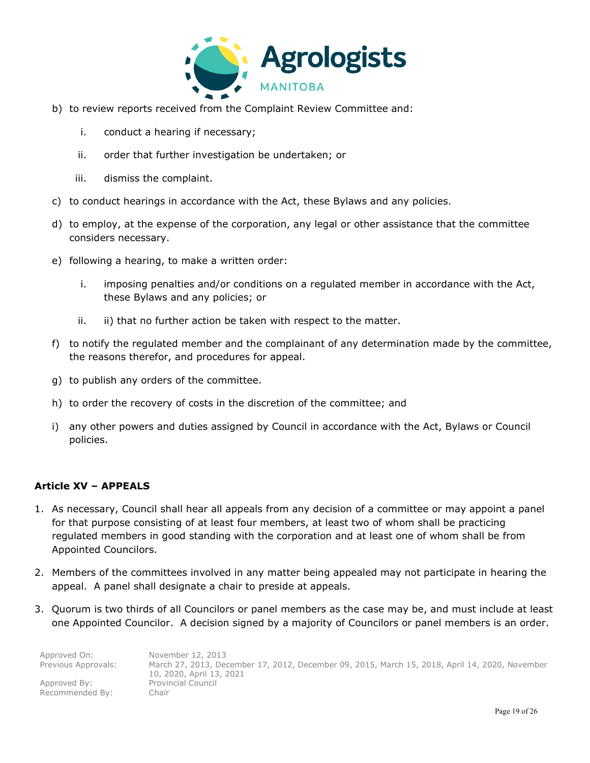![](_page_18_Picture_0.jpeg)

- b) to review reports received from the Complaint Review Committee and:
	- i. conduct a hearing if necessary;
	- ii. order that further investigation be undertaken; or
	- iii. dismiss the complaint.
- c) to conduct hearings in accordance with the Act, these Bylaws and any policies.
- d) to employ, at the expense of the corporation, any legal or other assistance that the committee considers necessary.
- e) following a hearing, to make a written order:
	- i. imposing penalties and/or conditions on a regulated member in accordance with the Act, these Bylaws and any policies; or
	- ii. ii) that no further action be taken with respect to the matter.
- f) to notify the regulated member and the complainant of any determination made by the committee, the reasons therefor, and procedures for appeal.
- g) to publish any orders of the committee.
- h) to order the recovery of costs in the discretion of the committee; and
- i) any other powers and duties assigned by Council in accordance with the Act, Bylaws or Council policies.

## **Article XV – APPEALS**

- 1. As necessary, Council shall hear all appeals from any decision of a committee or may appoint a panel for that purpose consisting of at least four members, at least two of whom shall be practicing regulated members in good standing with the corporation and at least one of whom shall be from Appointed Councilors.
- 2. Members of the committees involved in any matter being appealed may not participate in hearing the appeal. A panel shall designate a chair to preside at appeals.
- 3. Quorum is two thirds of all Councilors or panel members as the case may be, and must include at least one Appointed Councilor. A decision signed by a majority of Councilors or panel members is an order.

| Approved On:        | November 12, 2013                                                                              |
|---------------------|------------------------------------------------------------------------------------------------|
| Previous Approvals: | March 27, 2013, December 17, 2012, December 09, 2015, March 15, 2018, April 14, 2020, November |
|                     | 10, 2020, April 13, 2021                                                                       |
| Approved By:        | <b>Provincial Council</b>                                                                      |
| Recommended By:     | Chair                                                                                          |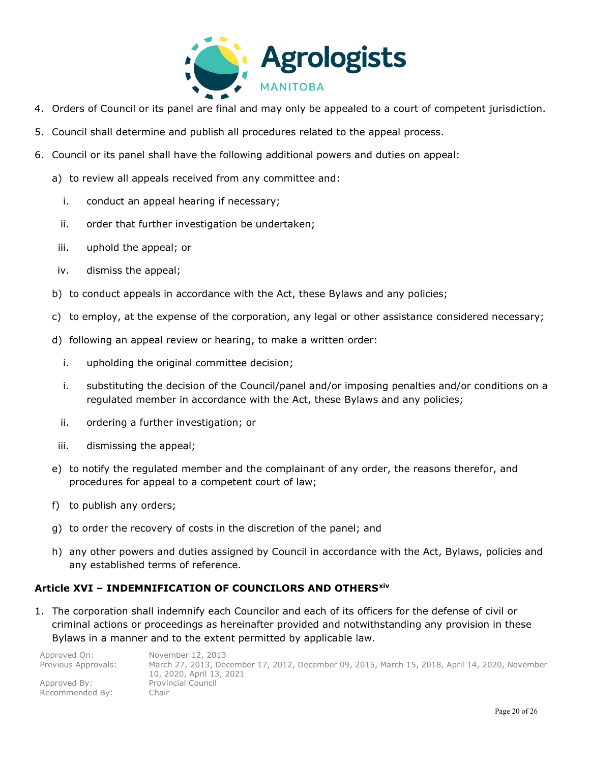![](_page_19_Picture_0.jpeg)

- 4. Orders of Council or its panel are final and may only be appealed to a court of competent jurisdiction.
- 5. Council shall determine and publish all procedures related to the appeal process.
- 6. Council or its panel shall have the following additional powers and duties on appeal:
	- a) to review all appeals received from any committee and:
		- i. conduct an appeal hearing if necessary;
		- ii. order that further investigation be undertaken;
	- iii. uphold the appeal; or
	- iv. dismiss the appeal;
	- b) to conduct appeals in accordance with the Act, these Bylaws and any policies;
	- c) to employ, at the expense of the corporation, any legal or other assistance considered necessary;
	- d) following an appeal review or hearing, to make a written order:
		- i. upholding the original committee decision;
		- i. substituting the decision of the Council/panel and/or imposing penalties and/or conditions on a regulated member in accordance with the Act, these Bylaws and any policies;
		- ii. ordering a further investigation; or
	- iii. dismissing the appeal;
	- e) to notify the regulated member and the complainant of any order, the reasons therefor, and procedures for appeal to a competent court of law;
	- f) to publish any orders;
	- g) to order the recovery of costs in the discretion of the panel; and
	- h) any other powers and duties assigned by Council in accordance with the Act, Bylaws, policies and any established terms of reference.

## **Article XVI – INDEMNIFICATION OF COUNCILORS AND OTHERS[xiv](#page-25-13)**

1. The corporation shall indemnify each Councilor and each of its officers for the defense of civil or criminal actions or proceedings as hereinafter provided and notwithstanding any provision in these Bylaws in a manner and to the extent permitted by applicable law.

| Approved On:        | November 12, 2013                                                                              |
|---------------------|------------------------------------------------------------------------------------------------|
| Previous Approvals: | March 27, 2013, December 17, 2012, December 09, 2015, March 15, 2018, April 14, 2020, November |
|                     | 10, 2020, April 13, 2021                                                                       |
| Approved By:        | <b>Provincial Council</b>                                                                      |
| Recommended By:     | .<br>hair                                                                                      |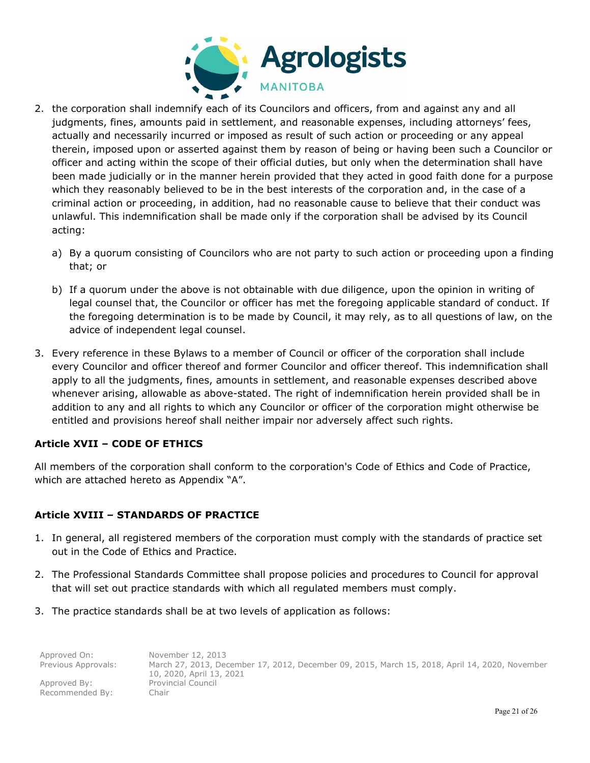![](_page_20_Picture_0.jpeg)

- 2. the corporation shall indemnify each of its Councilors and officers, from and against any and all judgments, fines, amounts paid in settlement, and reasonable expenses, including attorneys' fees, actually and necessarily incurred or imposed as result of such action or proceeding or any appeal therein, imposed upon or asserted against them by reason of being or having been such a Councilor or officer and acting within the scope of their official duties, but only when the determination shall have been made judicially or in the manner herein provided that they acted in good faith done for a purpose which they reasonably believed to be in the best interests of the corporation and, in the case of a criminal action or proceeding, in addition, had no reasonable cause to believe that their conduct was unlawful. This indemnification shall be made only if the corporation shall be advised by its Council acting:
	- a) By a quorum consisting of Councilors who are not party to such action or proceeding upon a finding that; or
	- b) If a quorum under the above is not obtainable with due diligence, upon the opinion in writing of legal counsel that, the Councilor or officer has met the foregoing applicable standard of conduct. If the foregoing determination is to be made by Council, it may rely, as to all questions of law, on the advice of independent legal counsel.
- 3. Every reference in these Bylaws to a member of Council or officer of the corporation shall include every Councilor and officer thereof and former Councilor and officer thereof. This indemnification shall apply to all the judgments, fines, amounts in settlement, and reasonable expenses described above whenever arising, allowable as above-stated. The right of indemnification herein provided shall be in addition to any and all rights to which any Councilor or officer of the corporation might otherwise be entitled and provisions hereof shall neither impair nor adversely affect such rights.

## **Article XVII – CODE OF ETHICS**

All members of the corporation shall conform to the corporation's Code of Ethics and Code of Practice, which are attached hereto as Appendix "A".

## **Article XVIII – STANDARDS OF PRACTICE**

- 1. In general, all registered members of the corporation must comply with the standards of practice set out in the Code of Ethics and Practice.
- 2. The Professional Standards Committee shall propose policies and procedures to Council for approval that will set out practice standards with which all regulated members must comply.
- 3. The practice standards shall be at two levels of application as follows:

| Approved On:        | November 12, 2013                                                                              |
|---------------------|------------------------------------------------------------------------------------------------|
| Previous Approvals: | March 27, 2013, December 17, 2012, December 09, 2015, March 15, 2018, April 14, 2020, November |
|                     | 10, 2020, April 13, 2021                                                                       |
| Approved By:        | <b>Provincial Council</b>                                                                      |
| Recommended By:     | .`hair                                                                                         |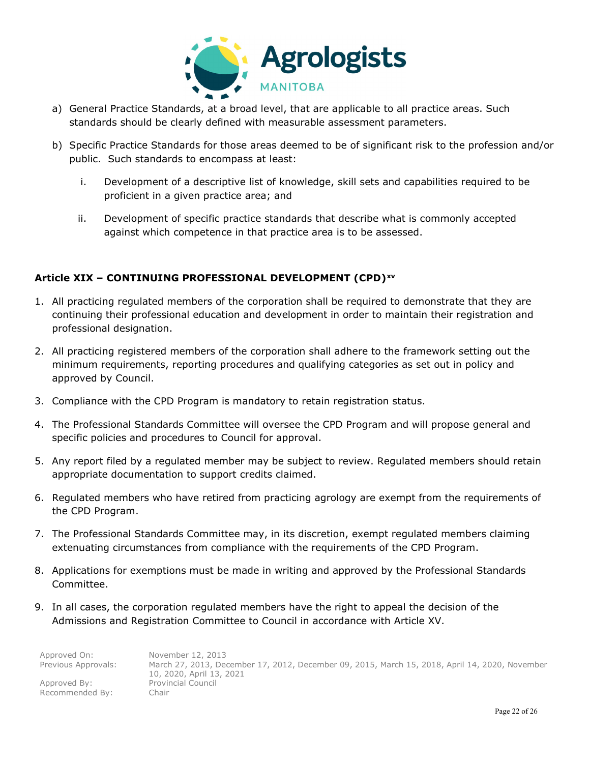![](_page_21_Picture_0.jpeg)

- a) General Practice Standards, at a broad level, that are applicable to all practice areas. Such standards should be clearly defined with measurable assessment parameters.
- b) Specific Practice Standards for those areas deemed to be of significant risk to the profession and/or public. Such standards to encompass at least:
	- i. Development of a descriptive list of knowledge, skill sets and capabilities required to be proficient in a given practice area; and
	- ii. Development of specific practice standards that describe what is commonly accepted against which competence in that practice area is to be assessed.

## **Article XIX – CONTINUING PROFESSIONAL DEVELOPMENT (CPD)[xv](#page-25-14)**

- 1. All practicing regulated members of the corporation shall be required to demonstrate that they are continuing their professional education and development in order to maintain their registration and professional designation.
- 2. All practicing registered members of the corporation shall adhere to the framework setting out the minimum requirements, reporting procedures and qualifying categories as set out in policy and approved by Council.
- 3. Compliance with the CPD Program is mandatory to retain registration status.
- 4. The Professional Standards Committee will oversee the CPD Program and will propose general and specific policies and procedures to Council for approval.
- 5. Any report filed by a regulated member may be subject to review. Regulated members should retain appropriate documentation to support credits claimed.
- 6. Regulated members who have retired from practicing agrology are exempt from the requirements of the CPD Program.
- 7. The Professional Standards Committee may, in its discretion, exempt regulated members claiming extenuating circumstances from compliance with the requirements of the CPD Program.
- 8. Applications for exemptions must be made in writing and approved by the Professional Standards Committee.
- 9. In all cases, the corporation regulated members have the right to appeal the decision of the Admissions and Registration Committee to Council in accordance with Article XV.

| Approved On:        | November 12, 2013                                                                              |
|---------------------|------------------------------------------------------------------------------------------------|
| Previous Approvals: | March 27, 2013, December 17, 2012, December 09, 2015, March 15, 2018, April 14, 2020, November |
|                     | 10, 2020, April 13, 2021                                                                       |
| Approved By:        | <b>Provincial Council</b>                                                                      |
| Recommended By:     | Chair                                                                                          |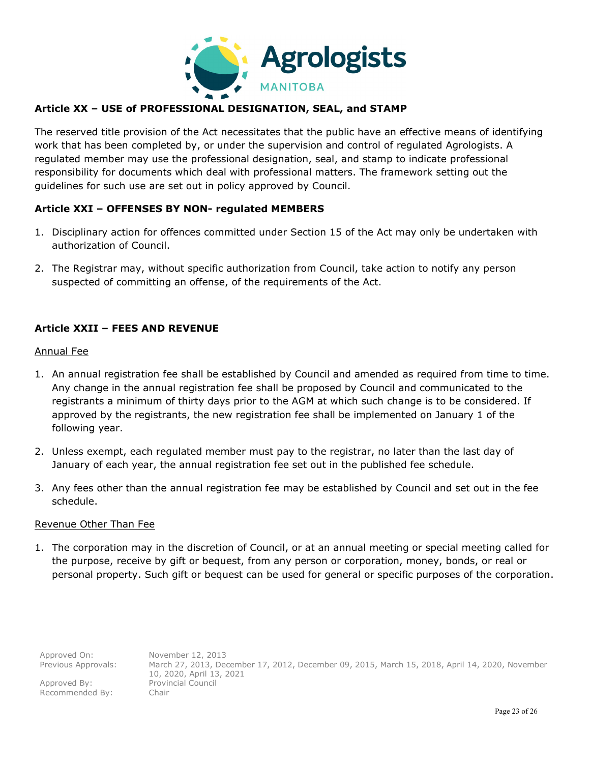![](_page_22_Picture_0.jpeg)

## **Article XX – USE of PROFESSIONAL DESIGNATION, SEAL, and STAMP**

The reserved title provision of the Act necessitates that the public have an effective means of identifying work that has been completed by, or under the supervision and control of regulated Agrologists. A regulated member may use the professional designation, seal, and stamp to indicate professional responsibility for documents which deal with professional matters. The framework setting out the guidelines for such use are set out in policy approved by Council.

## **Article XXI – OFFENSES BY NON- regulated MEMBERS**

- 1. Disciplinary action for offences committed under Section 15 of the Act may only be undertaken with authorization of Council.
- 2. The Registrar may, without specific authorization from Council, take action to notify any person suspected of committing an offense, of the requirements of the Act.

## **Article XXII – FEES AND REVENUE**

#### Annual Fee

- 1. An annual registration fee shall be established by Council and amended as required from time to time. Any change in the annual registration fee shall be proposed by Council and communicated to the registrants a minimum of thirty days prior to the AGM at which such change is to be considered. If approved by the registrants, the new registration fee shall be implemented on January 1 of the following year.
- 2. Unless exempt, each regulated member must pay to the registrar, no later than the last day of January of each year, the annual registration fee set out in the published fee schedule.
- 3. Any fees other than the annual registration fee may be established by Council and set out in the fee schedule.

#### Revenue Other Than Fee

1. The corporation may in the discretion of Council, or at an annual meeting or special meeting called for the purpose, receive by gift or bequest, from any person or corporation, money, bonds, or real or personal property. Such gift or bequest can be used for general or specific purposes of the corporation.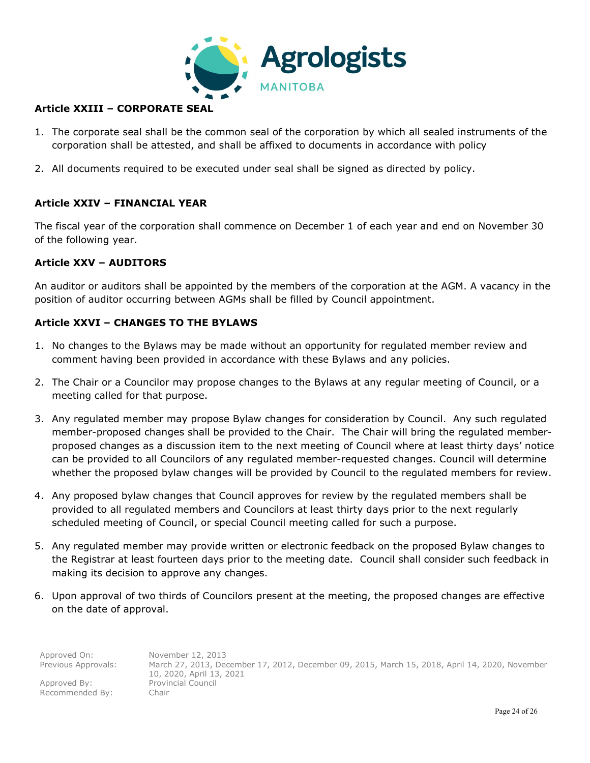![](_page_23_Picture_0.jpeg)

## **Article XXIII – CORPORATE SEAL**

- 1. The corporate seal shall be the common seal of the corporation by which all sealed instruments of the corporation shall be attested, and shall be affixed to documents in accordance with policy
- 2. All documents required to be executed under seal shall be signed as directed by policy.

## **Article XXIV – FINANCIAL YEAR**

The fiscal year of the corporation shall commence on December 1 of each year and end on November 30 of the following year.

## **Article XXV – AUDITORS**

An auditor or auditors shall be appointed by the members of the corporation at the AGM. A vacancy in the position of auditor occurring between AGMs shall be filled by Council appointment.

## **Article XXVI – CHANGES TO THE BYLAWS**

- 1. No changes to the Bylaws may be made without an opportunity for regulated member review and comment having been provided in accordance with these Bylaws and any policies.
- 2. The Chair or a Councilor may propose changes to the Bylaws at any regular meeting of Council, or a meeting called for that purpose.
- 3. Any regulated member may propose Bylaw changes for consideration by Council. Any such regulated member-proposed changes shall be provided to the Chair. The Chair will bring the regulated memberproposed changes as a discussion item to the next meeting of Council where at least thirty days' notice can be provided to all Councilors of any regulated member-requested changes. Council will determine whether the proposed bylaw changes will be provided by Council to the regulated members for review.
- 4. Any proposed bylaw changes that Council approves for review by the regulated members shall be provided to all regulated members and Councilors at least thirty days prior to the next regularly scheduled meeting of Council, or special Council meeting called for such a purpose.
- 5. Any regulated member may provide written or electronic feedback on the proposed Bylaw changes to the Registrar at least fourteen days prior to the meeting date. Council shall consider such feedback in making its decision to approve any changes.
- 6. Upon approval of two thirds of Councilors present at the meeting, the proposed changes are effective on the date of approval.

| Approved On:        | November 12, 2013                                                                                                          |
|---------------------|----------------------------------------------------------------------------------------------------------------------------|
| Previous Approvals: | March 27, 2013, December 17, 2012, December 09, 2015, March 15, 2018, April 14, 2020, November<br>10, 2020, April 13, 2021 |
| Approved By:        | <b>Provincial Council</b>                                                                                                  |
| Recommended By:     | -Chair                                                                                                                     |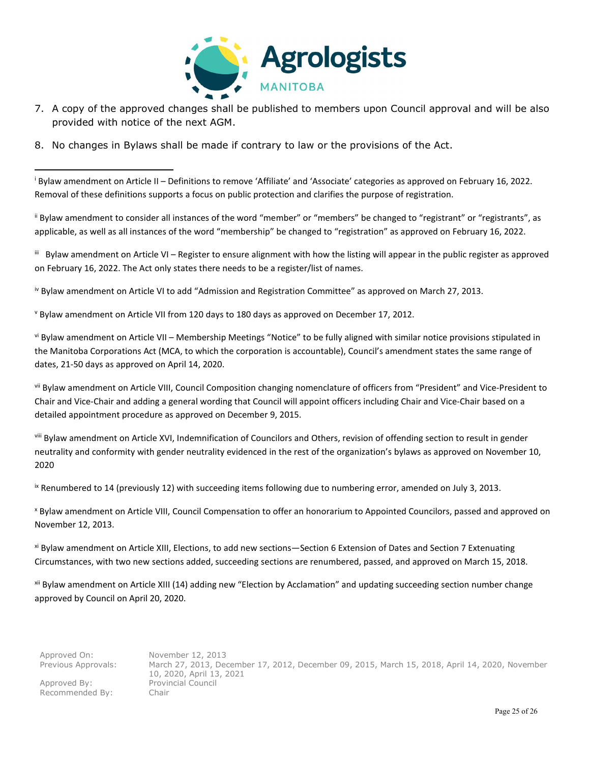![](_page_24_Picture_0.jpeg)

- 7. A copy of the approved changes shall be published to members upon Council approval and will be also provided with notice of the next AGM.
- 8. No changes in Bylaws shall be made if contrary to law or the provisions of the Act.

<sup>i</sup> Bylaw amendment on Article II – Definitions to remove 'Affiliate' and 'Associate' categories as approved on February 16, 2022. Removal of these definitions supports a focus on public protection and clarifies the purpose of registration.

ii Bylaw amendment to consider all instances of the word "member" or "members" be changed to "registrant" or "registrants", as applicable, as well as all instances of the word "membership" be changed to "registration" as approved on February 16, 2022.

iii Bylaw amendment on Article VI – Register to ensure alignment with how the listing will appear in the public register as approved on February 16, 2022. The Act only states there needs to be a register/list of names.

iv Bylaw amendment on Article VI to add "Admission and Registration Committee" as approved on March 27, 2013.

<sup>v</sup> Bylaw amendment on Article VII from 120 days to 180 days as approved on December 17, 2012.

vi Bylaw amendment on Article VII – Membership Meetings "Notice" to be fully aligned with similar notice provisions stipulated in the Manitoba Corporations Act (MCA, to which the corporation is accountable), Council's amendment states the same range of dates, 21-50 days as approved on April 14, 2020.

vii Bylaw amendment on Article VIII, Council Composition changing nomenclature of officers from "President" and Vice-President to Chair and Vice-Chair and adding a general wording that Council will appoint officers including Chair and Vice-Chair based on a detailed appointment procedure as approved on December 9, 2015.

viii Bylaw amendment on Article XVI, Indemnification of Councilors and Others, revision of offending section to result in gender neutrality and conformity with gender neutrality evidenced in the rest of the organization's bylaws as approved on November 10, 2020

IX Renumbered to 14 (previously 12) with succeeding items following due to numbering error, amended on July 3, 2013.

<sup>x</sup> Bylaw amendment on Article VIII, Council Compensation to offer an honorarium to Appointed Councilors, passed and approved on November 12, 2013.

xi Bylaw amendment on Article XIII, Elections, to add new sections—Section 6 Extension of Dates and Section 7 Extenuating Circumstances, with two new sections added, succeeding sections are renumbered, passed, and approved on March 15, 2018.

xii Bylaw amendment on Article XIII (14) adding new "Election by Acclamation" and updating succeeding section number change approved by Council on April 20, 2020.